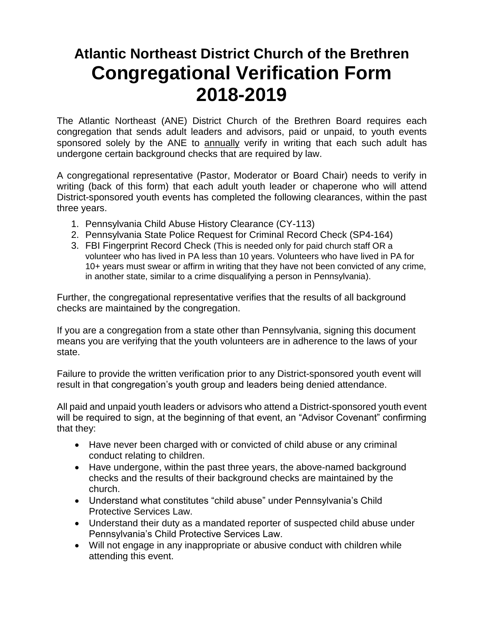## **Atlantic Northeast District Church of the Brethren Congregational Verification Form 2018-2019**

The Atlantic Northeast (ANE) District Church of the Brethren Board requires each congregation that sends adult leaders and advisors, paid or unpaid, to youth events sponsored solely by the ANE to annually verify in writing that each such adult has undergone certain background checks that are required by law.

A congregational representative (Pastor, Moderator or Board Chair) needs to verify in writing (back of this form) that each adult youth leader or chaperone who will attend District-sponsored youth events has completed the following clearances, within the past three years.

- 1. Pennsylvania Child Abuse History Clearance (CY-113)
- 2. Pennsylvania State Police Request for Criminal Record Check (SP4-164)
- 3. FBI Fingerprint Record Check (This is needed only for paid church staff OR a volunteer who has lived in PA less than 10 years. Volunteers who have lived in PA for 10+ years must swear or affirm in writing that they have not been convicted of any crime, in another state, similar to a crime disqualifying a person in Pennsylvania).

Further, the congregational representative verifies that the results of all background checks are maintained by the congregation.

If you are a congregation from a state other than Pennsylvania, signing this document means you are verifying that the youth volunteers are in adherence to the laws of your state.

Failure to provide the written verification prior to any District-sponsored youth event will result in that congregation's youth group and leaders being denied attendance.

All paid and unpaid youth leaders or advisors who attend a District-sponsored youth event will be required to sign, at the beginning of that event, an "Advisor Covenant" confirming that they:

- Have never been charged with or convicted of child abuse or any criminal conduct relating to children.
- Have undergone, within the past three years, the above-named background checks and the results of their background checks are maintained by the church.
- Understand what constitutes "child abuse" under Pennsylvania's Child Protective Services Law.
- Understand their duty as a mandated reporter of suspected child abuse under Pennsylvania's Child Protective Services Law.
- Will not engage in any inappropriate or abusive conduct with children while attending this event.